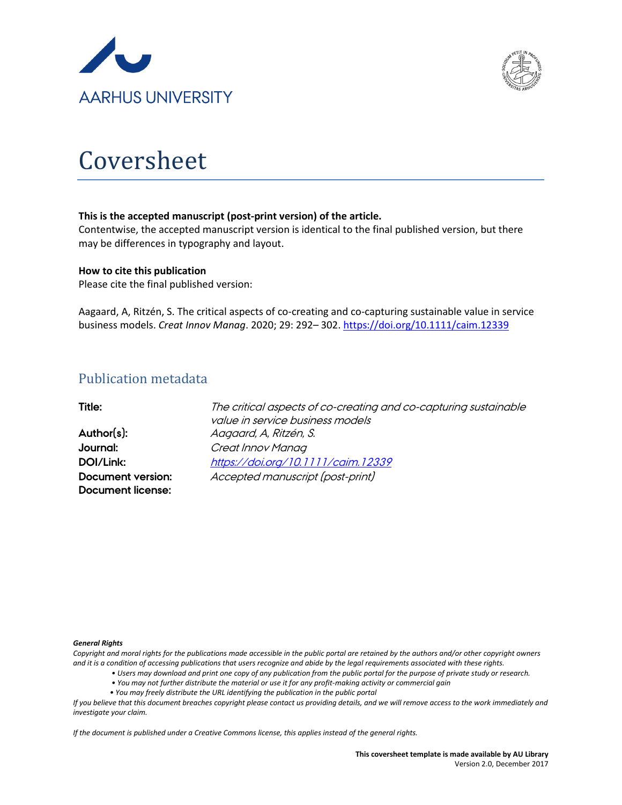



# Coversheet

#### **This is the accepted manuscript (post-print version) of the article.**

Contentwise, the accepted manuscript version is identical to the final published version, but there may be differences in typography and layout.

#### **How to cite this publication**

Please cite the final published version:

Aagaard, A, Ritzén, S. The critical aspects of co-creating and co-capturing sustainable value in service business models. *Creat Innov Manag*. 2020; 29: 292– 302.<https://doi.org/10.1111/caim.12339>

## Publication metadata

| Title:                   | The critical aspects of co-creating and co-capturing sustainable<br>value in service business models |
|--------------------------|------------------------------------------------------------------------------------------------------|
| Author(s):               | Aagaard, A, Ritzén, S.                                                                               |
| Journal:                 | Creat Innov Manag                                                                                    |
| DOI/Link:                | https://doi.org/10.1111/caim.12339                                                                   |
| <b>Document version:</b> | Accepted manuscript (post-print)                                                                     |
| <b>Document license:</b> |                                                                                                      |

#### *General Rights*

*Copyright and moral rights for the publications made accessible in the public portal are retained by the authors and/or other copyright owners and it is a condition of accessing publications that users recognize and abide by the legal requirements associated with these rights.*

- *Users may download and print one copy of any publication from the public portal for the purpose of private study or research.*
- *You may not further distribute the material or use it for any profit-making activity or commercial gain*
- *You may freely distribute the URL identifying the publication in the public portal*

*If you believe that this document breaches copyright please contact us providing details, and we will remove access to the work immediately and investigate your claim.*

*If the document is published under a Creative Commons license, this applies instead of the general rights.*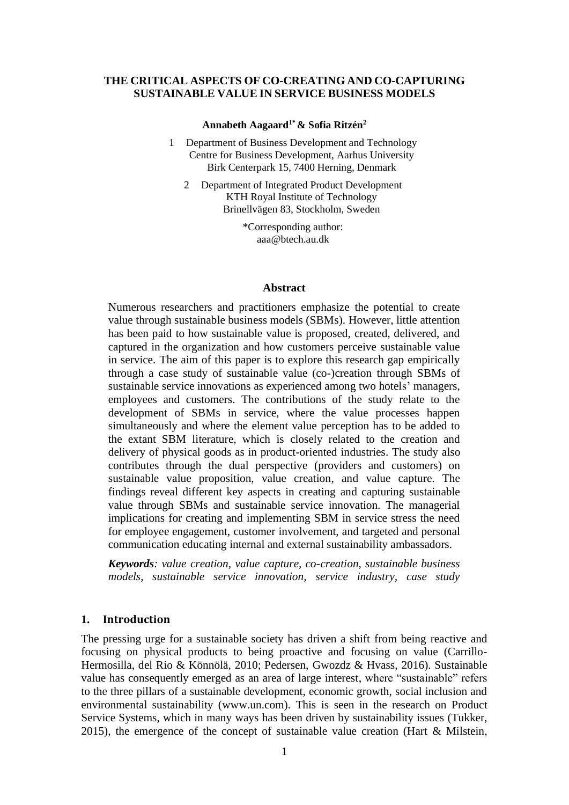#### **THE CRITICAL ASPECTS OF CO-CREATING AND CO-CAPTURING SUSTAINABLE VALUE IN SERVICE BUSINESS MODELS**

#### **Annabeth Aagaard1\* & Sofia Ritzén<sup>2</sup>**

- 1 Department of Business Development and Technology Centre for Business Development, Aarhus University Birk Centerpark 15, 7400 Herning, Denmark
	- 2 Department of Integrated Product Development KTH Royal Institute of Technology Brinellvägen 83, Stockholm, Sweden

\*Corresponding author: aaa@btech.au.dk

#### **Abstract**

Numerous researchers and practitioners emphasize the potential to create value through sustainable business models (SBMs). However, little attention has been paid to how sustainable value is proposed, created, delivered, and captured in the organization and how customers perceive sustainable value in service. The aim of this paper is to explore this research gap empirically through a case study of sustainable value (co-)creation through SBMs of sustainable service innovations as experienced among two hotels' managers, employees and customers. The contributions of the study relate to the development of SBMs in service, where the value processes happen simultaneously and where the element value perception has to be added to the extant SBM literature, which is closely related to the creation and delivery of physical goods as in product-oriented industries. The study also contributes through the dual perspective (providers and customers) on sustainable value proposition, value creation, and value capture. The findings reveal different key aspects in creating and capturing sustainable value through SBMs and sustainable service innovation. The managerial implications for creating and implementing SBM in service stress the need for employee engagement, customer involvement, and targeted and personal communication educating internal and external sustainability ambassadors.

*Keywords: value creation, value capture, co-creation, sustainable business models, sustainable service innovation, service industry, case study*

#### **1. Introduction**

The pressing urge for a sustainable society has driven a shift from being reactive and focusing on physical products to being proactive and focusing on value (Carrillo-Hermosilla, del Rio & Könnölä, 2010; Pedersen, Gwozdz & Hvass, 2016). Sustainable value has consequently emerged as an area of large interest, where "sustainable" refers to the three pillars of a sustainable development, economic growth, social inclusion and environmental sustainability (www.un.com). This is seen in the research on Product Service Systems, which in many ways has been driven by sustainability issues (Tukker, 2015), the emergence of the concept of sustainable value creation (Hart & Milstein,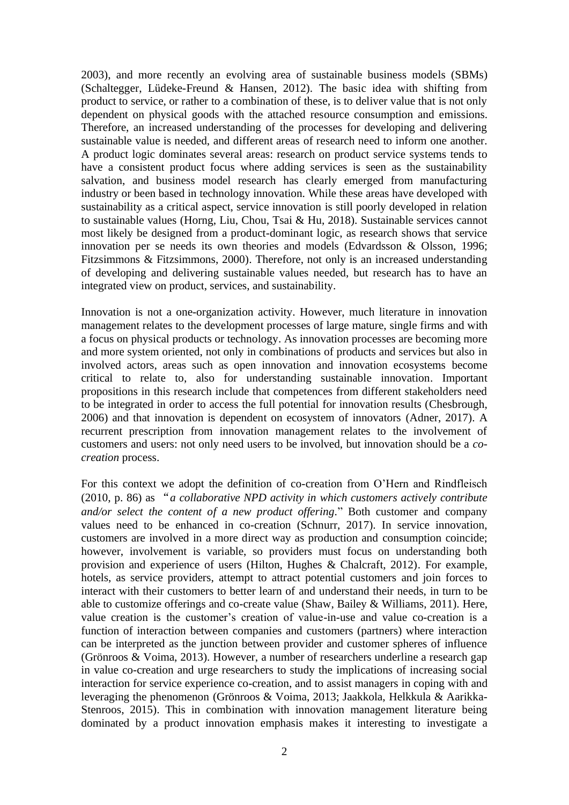2003), and more recently an evolving area of sustainable business models (SBMs) (Schaltegger, Lüdeke-Freund & Hansen, 2012). The basic idea with shifting from product to service, or rather to a combination of these, is to deliver value that is not only dependent on physical goods with the attached resource consumption and emissions. Therefore, an increased understanding of the processes for developing and delivering sustainable value is needed, and different areas of research need to inform one another. A product logic dominates several areas: research on product service systems tends to have a consistent product focus where adding services is seen as the sustainability salvation, and business model research has clearly emerged from manufacturing industry or been based in technology innovation. While these areas have developed with sustainability as a critical aspect, service innovation is still poorly developed in relation to sustainable values (Horng, Liu, Chou, Tsai & Hu, 2018). Sustainable services cannot most likely be designed from a product-dominant logic, as research shows that service innovation per se needs its own theories and models (Edvardsson & Olsson, 1996; Fitzsimmons & Fitzsimmons, 2000). Therefore, not only is an increased understanding of developing and delivering sustainable values needed, but research has to have an integrated view on product, services, and sustainability.

Innovation is not a one-organization activity. However, much literature in innovation management relates to the development processes of large mature, single firms and with a focus on physical products or technology. As innovation processes are becoming more and more system oriented, not only in combinations of products and services but also in involved actors, areas such as open innovation and innovation ecosystems become critical to relate to, also for understanding sustainable innovation. Important propositions in this research include that competences from different stakeholders need to be integrated in order to access the full potential for innovation results (Chesbrough, 2006) and that innovation is dependent on ecosystem of innovators (Adner, 2017). A recurrent prescription from innovation management relates to the involvement of customers and users: not only need users to be involved, but innovation should be a *cocreation* process.

For this context we adopt the definition of co-creation from O'Hern and Rindfleisch (2010, p. 86) as "*a collaborative NPD activity in which customers actively contribute and/or select the content of a new product offering.*" Both customer and company values need to be enhanced in co-creation (Schnurr, 2017). In service innovation, customers are involved in a more direct way as production and consumption coincide; however, involvement is variable, so providers must focus on understanding both provision and experience of users (Hilton, Hughes & Chalcraft, 2012). For example, hotels, as service providers, attempt to attract potential customers and join forces to interact with their customers to better learn of and understand their needs, in turn to be able to customize offerings and co-create value (Shaw, Bailey & Williams, 2011). Here, value creation is the customer's creation of value-in-use and value co-creation is a function of interaction between companies and customers (partners) where interaction can be interpreted as the junction between provider and customer spheres of influence (Grönroos & Voima, 2013). However, a number of researchers underline a research gap in value co-creation and urge researchers to study the implications of increasing social interaction for service experience co-creation, and to assist managers in coping with and leveraging the phenomenon (Grönroos & Voima, 2013; Jaakkola, Helkkula & Aarikka-Stenroos, 2015). This in combination with innovation management literature being dominated by a product innovation emphasis makes it interesting to investigate a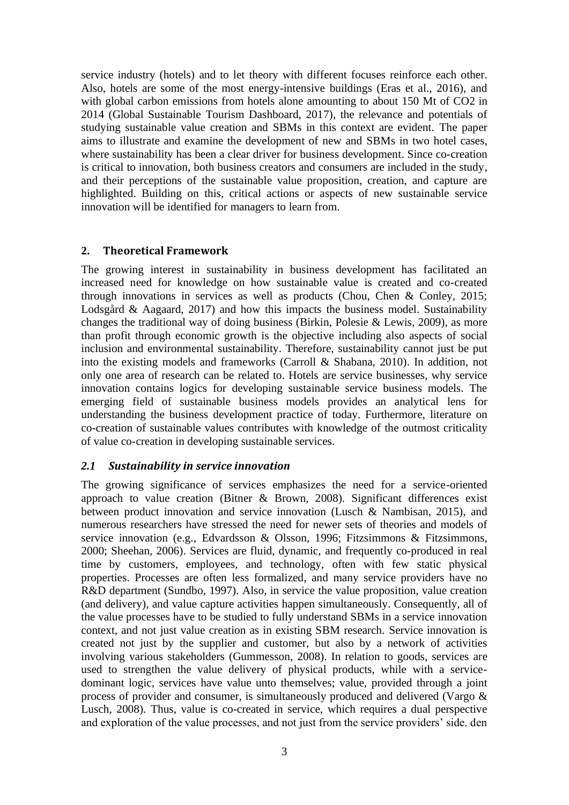service industry (hotels) and to let theory with different focuses reinforce each other. Also, hotels are some of the most energy-intensive buildings (Eras et al., 2016), and with global carbon emissions from hotels alone amounting to about 150 Mt of CO2 in 2014 (Global Sustainable Tourism Dashboard, 2017), the relevance and potentials of studying sustainable value creation and SBMs in this context are evident. The paper aims to illustrate and examine the development of new and SBMs in two hotel cases, where sustainability has been a clear driver for business development. Since co-creation is critical to innovation, both business creators and consumers are included in the study, and their perceptions of the sustainable value proposition, creation, and capture are highlighted. Building on this, critical actions or aspects of new sustainable service innovation will be identified for managers to learn from.

#### **2. Theoretical Framework**

The growing interest in sustainability in business development has facilitated an increased need for knowledge on how sustainable value is created and co-created through innovations in services as well as products (Chou, Chen & Conley, 2015; Lodsgård & Aagaard, 2017) and how this impacts the business model. Sustainability changes the traditional way of doing business (Birkin, Polesie & Lewis, 2009), as more than profit through economic growth is the objective including also aspects of social inclusion and environmental sustainability. Therefore, sustainability cannot just be put into the existing models and frameworks (Carroll & Shabana, 2010). In addition, not only one area of research can be related to. Hotels are service businesses, why service innovation contains logics for developing sustainable service business models. The emerging field of sustainable business models provides an analytical lens for understanding the business development practice of today. Furthermore, literature on co-creation of sustainable values contributes with knowledge of the outmost criticality of value co-creation in developing sustainable services.

#### *2.1 Sustainability in service innovation*

The growing significance of services emphasizes the need for a service-oriented approach to value creation (Bitner & Brown, 2008). Significant differences exist between product innovation and service innovation (Lusch & Nambisan, 2015), and numerous researchers have stressed the need for newer sets of theories and models of service innovation (e.g., Edvardsson & Olsson, 1996; Fitzsimmons & Fitzsimmons, 2000; Sheehan, 2006). Services are fluid, dynamic, and frequently co-produced in real time by customers, employees, and technology, often with few static physical properties. Processes are often less formalized, and many service providers have no R&D department (Sundbo, 1997). Also, in service the value proposition, value creation (and delivery), and value capture activities happen simultaneously. Consequently, all of the value processes have to be studied to fully understand SBMs in a service innovation context, and not just value creation as in existing SBM research. Service innovation is created not just by the supplier and customer, but also by a network of activities involving various stakeholders (Gummesson, 2008). In relation to goods, services are used to strengthen the value delivery of physical products, while with a servicedominant logic, services have value unto themselves; value, provided through a joint process of provider and consumer, is simultaneously produced and delivered (Vargo & Lusch, 2008). Thus, value is co-created in service, which requires a dual perspective and exploration of the value processes, and not just from the service providers' side. den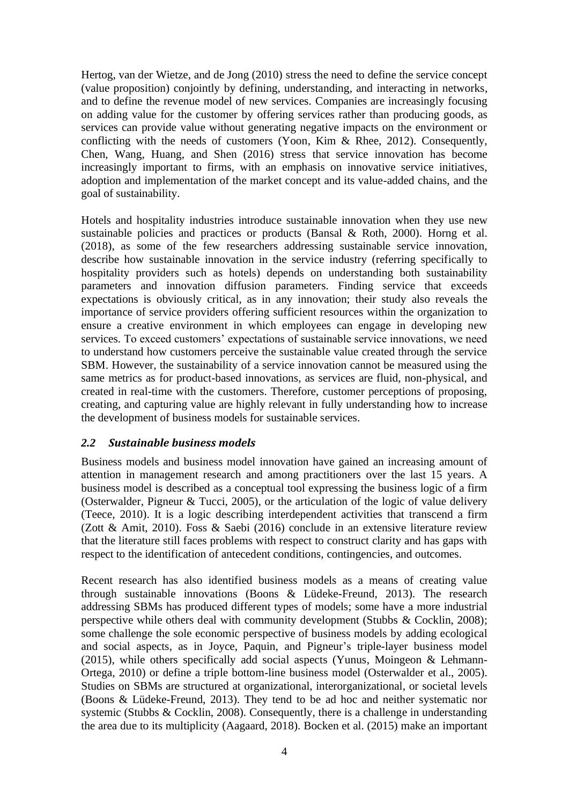Hertog, van der Wietze, and de Jong (2010) stress the need to define the service concept (value proposition) conjointly by defining, understanding, and interacting in networks, and to define the revenue model of new services. Companies are increasingly focusing on adding value for the customer by offering services rather than producing goods, as services can provide value without generating negative impacts on the environment or conflicting with the needs of customers (Yoon, Kim & Rhee, 2012). Consequently, Chen, Wang, Huang, and Shen (2016) stress that service innovation has become increasingly important to firms, with an emphasis on innovative service initiatives, adoption and implementation of the market concept and its value-added chains, and the goal of sustainability.

Hotels and hospitality industries introduce sustainable innovation when they use new sustainable policies and practices or products (Bansal & Roth, 2000). Horng et al. (2018), as some of the few researchers addressing sustainable service innovation, describe how sustainable innovation in the service industry (referring specifically to hospitality providers such as hotels) depends on understanding both sustainability parameters and innovation diffusion parameters. Finding service that exceeds expectations is obviously critical, as in any innovation; their study also reveals the importance of service providers offering sufficient resources within the organization to ensure a creative environment in which employees can engage in developing new services. To exceed customers' expectations of sustainable service innovations, we need to understand how customers perceive the sustainable value created through the service SBM. However, the sustainability of a service innovation cannot be measured using the same metrics as for product-based innovations, as services are fluid, non-physical, and created in real-time with the customers. Therefore, customer perceptions of proposing, creating, and capturing value are highly relevant in fully understanding how to increase the development of business models for sustainable services.

#### *2.2 Sustainable business models*

Business models and business model innovation have gained an increasing amount of attention in management research and among practitioners over the last 15 years. A business model is described as a conceptual tool expressing the business logic of a firm (Osterwalder, Pigneur & Tucci, 2005), or the articulation of the logic of value delivery (Teece, 2010). It is a logic describing interdependent activities that transcend a firm (Zott & Amit, 2010). Foss & Saebi (2016) conclude in an extensive literature review that the literature still faces problems with respect to construct clarity and has gaps with respect to the identification of antecedent conditions, contingencies, and outcomes.

Recent research has also identified business models as a means of creating value through sustainable innovations (Boons & Lüdeke-Freund, 2013). The research addressing SBMs has produced different types of models; some have a more industrial perspective while others deal with community development (Stubbs & Cocklin, 2008); some challenge the sole economic perspective of business models by adding ecological and social aspects, as in Joyce, Paquin, and Pigneur's triple-layer business model (2015), while others specifically add social aspects (Yunus, Moingeon & Lehmann-Ortega, 2010) or define a triple bottom-line business model (Osterwalder et al., 2005). Studies on SBMs are structured at organizational, interorganizational, or societal levels (Boons & Lüdeke-Freund, 2013). They tend to be ad hoc and neither systematic nor systemic (Stubbs & Cocklin, 2008). Consequently, there is a challenge in understanding the area due to its multiplicity (Aagaard, 2018). Bocken et al. (2015) make an important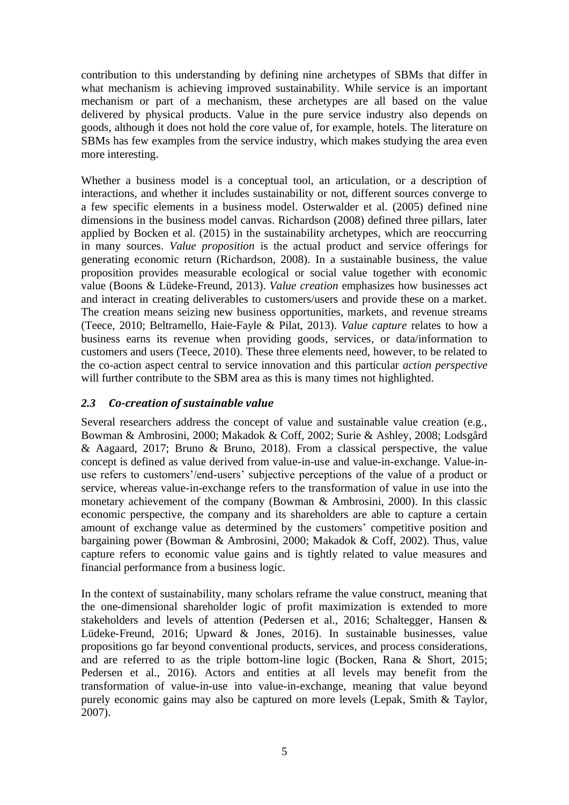contribution to this understanding by defining nine archetypes of SBMs that differ in what mechanism is achieving improved sustainability. While service is an important mechanism or part of a mechanism, these archetypes are all based on the value delivered by physical products. Value in the pure service industry also depends on goods, although it does not hold the core value of, for example, hotels. The literature on SBMs has few examples from the service industry, which makes studying the area even more interesting.

Whether a business model is a conceptual tool, an articulation, or a description of interactions, and whether it includes sustainability or not, different sources converge to a few specific elements in a business model. Osterwalder et al. (2005) defined nine dimensions in the business model canvas. Richardson (2008) defined three pillars, later applied by Bocken et al. (2015) in the sustainability archetypes, which are reoccurring in many sources. *Value proposition* is the actual product and service offerings for generating economic return (Richardson, 2008). In a sustainable business, the value proposition provides measurable ecological or social value together with economic value (Boons & Lüdeke-Freund, 2013). *Value creation* emphasizes how businesses act and interact in creating deliverables to customers/users and provide these on a market. The creation means seizing new business opportunities, markets, and revenue streams (Teece, 2010; Beltramello, Haie-Fayle & Pilat, 2013). *Value capture* relates to how a business earns its revenue when providing goods, services, or data/information to customers and users (Teece, 2010). These three elements need, however, to be related to the co-action aspect central to service innovation and this particular *action perspective* will further contribute to the SBM area as this is many times not highlighted.

## *2.3 Co-creation of sustainable value*

Several researchers address the concept of value and sustainable value creation (e.g., Bowman & Ambrosini, 2000; Makadok & Coff, 2002; Surie & Ashley, 2008; Lodsgård & Aagaard, 2017; Bruno & Bruno, 2018). From a classical perspective, the value concept is defined as value derived from value-in-use and value-in-exchange. Value-inuse refers to customers'/end-users' subjective perceptions of the value of a product or service, whereas value-in-exchange refers to the transformation of value in use into the monetary achievement of the company (Bowman & Ambrosini, 2000). In this classic economic perspective, the company and its shareholders are able to capture a certain amount of exchange value as determined by the customers' competitive position and bargaining power (Bowman & Ambrosini, 2000; Makadok & Coff, 2002). Thus, value capture refers to economic value gains and is tightly related to value measures and financial performance from a business logic.

In the context of sustainability, many scholars reframe the value construct, meaning that the one-dimensional shareholder logic of profit maximization is extended to more stakeholders and levels of attention (Pedersen et al., 2016; Schaltegger, Hansen & Lüdeke-Freund, 2016; Upward & Jones, 2016). In sustainable businesses, value propositions go far beyond conventional products, services, and process considerations, and are referred to as the triple bottom-line logic (Bocken, Rana & Short, 2015; Pedersen et al., 2016). Actors and entities at all levels may benefit from the transformation of value-in-use into value-in-exchange, meaning that value beyond purely economic gains may also be captured on more levels (Lepak, Smith & Taylor, 2007).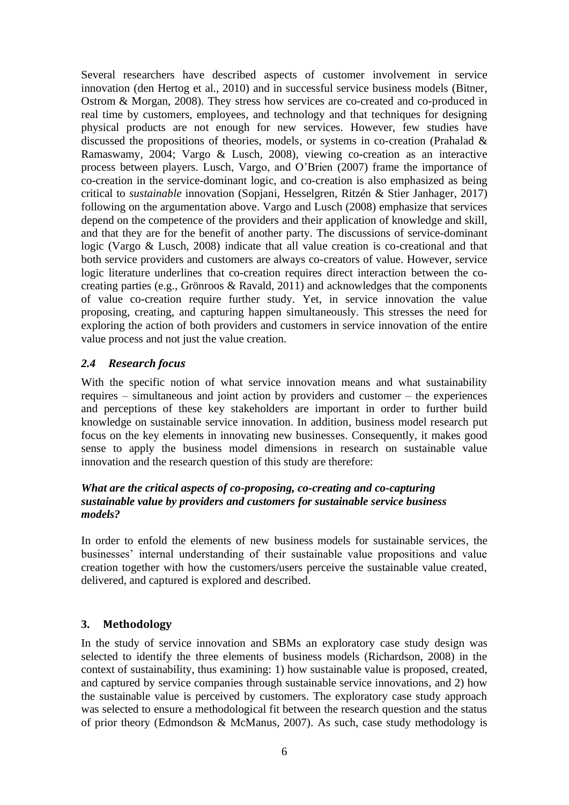Several researchers have described aspects of customer involvement in service innovation (den Hertog et al., 2010) and in successful service business models (Bitner, Ostrom & Morgan, 2008). They stress how services are co-created and co-produced in real time by customers, employees, and technology and that techniques for designing physical products are not enough for new services. However, few studies have discussed the propositions of theories, models, or systems in co-creation (Prahalad & Ramaswamy, 2004; Vargo & Lusch, 2008), viewing co-creation as an interactive process between players. Lusch, Vargo, and O'Brien (2007) frame the importance of co-creation in the service-dominant logic, and co-creation is also emphasized as being critical to *sustainable* innovation (Sopjani, Hesselgren, Ritzén & Stier Janhager, 2017) following on the argumentation above. Vargo and Lusch (2008) emphasize that services depend on the competence of the providers and their application of knowledge and skill, and that they are for the benefit of another party. The discussions of service-dominant logic (Vargo & Lusch, 2008) indicate that all value creation is co-creational and that both service providers and customers are always co-creators of value. However, service logic literature underlines that co-creation requires direct interaction between the cocreating parties (e.g., Grönroos & Ravald, 2011) and acknowledges that the components of value co-creation require further study. Yet, in service innovation the value proposing, creating, and capturing happen simultaneously. This stresses the need for exploring the action of both providers and customers in service innovation of the entire value process and not just the value creation.

## *2.4 Research focus*

With the specific notion of what service innovation means and what sustainability requires – simultaneous and joint action by providers and customer – the experiences and perceptions of these key stakeholders are important in order to further build knowledge on sustainable service innovation. In addition, business model research put focus on the key elements in innovating new businesses. Consequently, it makes good sense to apply the business model dimensions in research on sustainable value innovation and the research question of this study are therefore:

#### *What are the critical aspects of co-proposing, co-creating and co-capturing sustainable value by providers and customers for sustainable service business models?*

In order to enfold the elements of new business models for sustainable services, the businesses' internal understanding of their sustainable value propositions and value creation together with how the customers/users perceive the sustainable value created, delivered, and captured is explored and described.

## **3. Methodology**

In the study of service innovation and SBMs an exploratory case study design was selected to identify the three elements of business models (Richardson, 2008) in the context of sustainability, thus examining: 1) how sustainable value is proposed, created, and captured by service companies through sustainable service innovations, and 2) how the sustainable value is perceived by customers. The exploratory case study approach was selected to ensure a methodological fit between the research question and the status of prior theory (Edmondson & McManus, 2007). As such, case study methodology is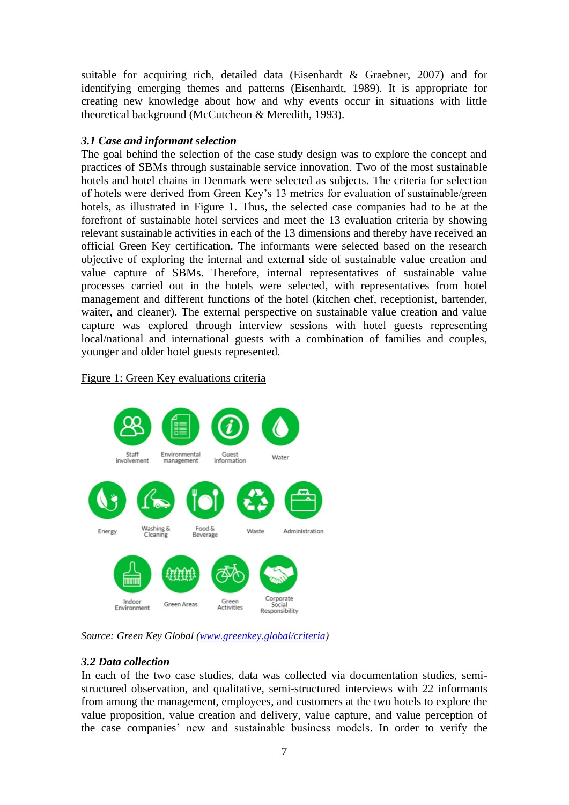suitable for acquiring rich, detailed data (Eisenhardt & Graebner, 2007) and for identifying emerging themes and patterns (Eisenhardt, 1989). It is appropriate for creating new knowledge about how and why events occur in situations with little theoretical background (McCutcheon & Meredith, 1993).

## *3.1 Case and informant selection*

The goal behind the selection of the case study design was to explore the concept and practices of SBMs through sustainable service innovation. Two of the most sustainable hotels and hotel chains in Denmark were selected as subjects. The criteria for selection of hotels were derived from Green Key's 13 metrics for evaluation of sustainable/green hotels, as illustrated in Figure 1. Thus, the selected case companies had to be at the forefront of sustainable hotel services and meet the 13 evaluation criteria by showing relevant sustainable activities in each of the 13 dimensions and thereby have received an official Green Key certification. The informants were selected based on the research objective of exploring the internal and external side of sustainable value creation and value capture of SBMs. Therefore, internal representatives of sustainable value processes carried out in the hotels were selected, with representatives from hotel management and different functions of the hotel (kitchen chef, receptionist, bartender, waiter, and cleaner). The external perspective on sustainable value creation and value capture was explored through interview sessions with hotel guests representing local/national and international guests with a combination of families and couples, younger and older hotel guests represented.

#### Figure 1: Green Key evaluations criteria



*Source: Green Key Global [\(www.greenkey.global/criteria\)](http://www.greenkey.global/criteria)*

## *3.2 Data collection*

In each of the two case studies, data was collected via documentation studies, semistructured observation, and qualitative, semi-structured interviews with 22 informants from among the management, employees, and customers at the two hotels to explore the value proposition, value creation and delivery, value capture, and value perception of the case companies' new and sustainable business models. In order to verify the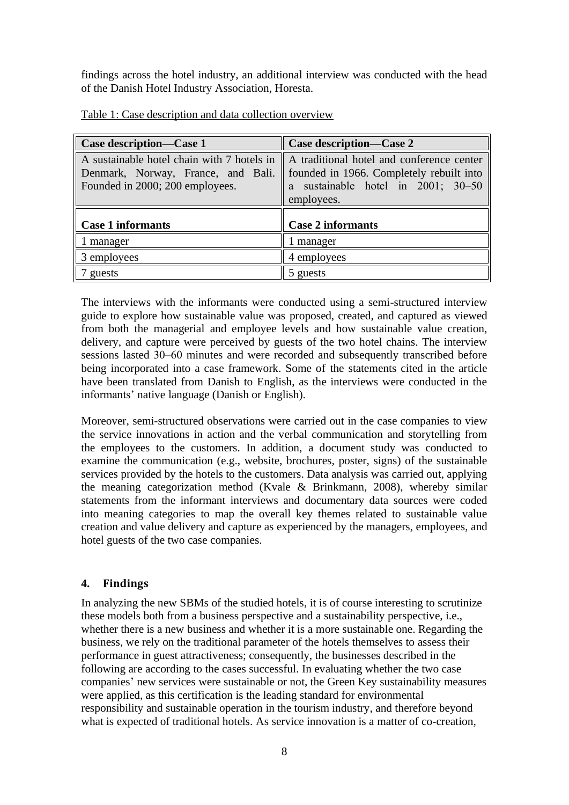findings across the hotel industry, an additional interview was conducted with the head of the Danish Hotel Industry Association, Horesta.

| Case description—Case 1                                                                                             | Case description-Case 2                                                                                                                   |  |  |
|---------------------------------------------------------------------------------------------------------------------|-------------------------------------------------------------------------------------------------------------------------------------------|--|--|
| A sustainable hotel chain with 7 hotels in<br>Denmark, Norway, France, and Bali.<br>Founded in 2000; 200 employees. | A traditional hotel and conference center<br>founded in 1966. Completely rebuilt into<br>a sustainable hotel in 2001; 30-50<br>employees. |  |  |
| <b>Case 1 informants</b>                                                                                            | <b>Case 2 informants</b>                                                                                                                  |  |  |
| 1 manager                                                                                                           | 1 manager                                                                                                                                 |  |  |
| 3 employees                                                                                                         | 4 employees                                                                                                                               |  |  |
| guests                                                                                                              | 5 guests                                                                                                                                  |  |  |

Table 1: Case description and data collection overview

The interviews with the informants were conducted using a semi-structured interview guide to explore how sustainable value was proposed, created, and captured as viewed from both the managerial and employee levels and how sustainable value creation, delivery, and capture were perceived by guests of the two hotel chains. The interview sessions lasted 30–60 minutes and were recorded and subsequently transcribed before being incorporated into a case framework. Some of the statements cited in the article have been translated from Danish to English, as the interviews were conducted in the informants' native language (Danish or English).

Moreover, semi-structured observations were carried out in the case companies to view the service innovations in action and the verbal communication and storytelling from the employees to the customers. In addition, a document study was conducted to examine the communication (e.g., website, brochures, poster, signs) of the sustainable services provided by the hotels to the customers. Data analysis was carried out, applying the meaning categorization method (Kvale & Brinkmann, 2008), whereby similar statements from the informant interviews and documentary data sources were coded into meaning categories to map the overall key themes related to sustainable value creation and value delivery and capture as experienced by the managers, employees, and hotel guests of the two case companies.

## **4. Findings**

In analyzing the new SBMs of the studied hotels, it is of course interesting to scrutinize these models both from a business perspective and a sustainability perspective, i.e., whether there is a new business and whether it is a more sustainable one. Regarding the business, we rely on the traditional parameter of the hotels themselves to assess their performance in guest attractiveness; consequently, the businesses described in the following are according to the cases successful. In evaluating whether the two case companies' new services were sustainable or not, the Green Key sustainability measures were applied, as this certification is the leading standard for environmental responsibility and sustainable operation in the tourism industry, and therefore beyond what is expected of traditional hotels. As service innovation is a matter of co-creation,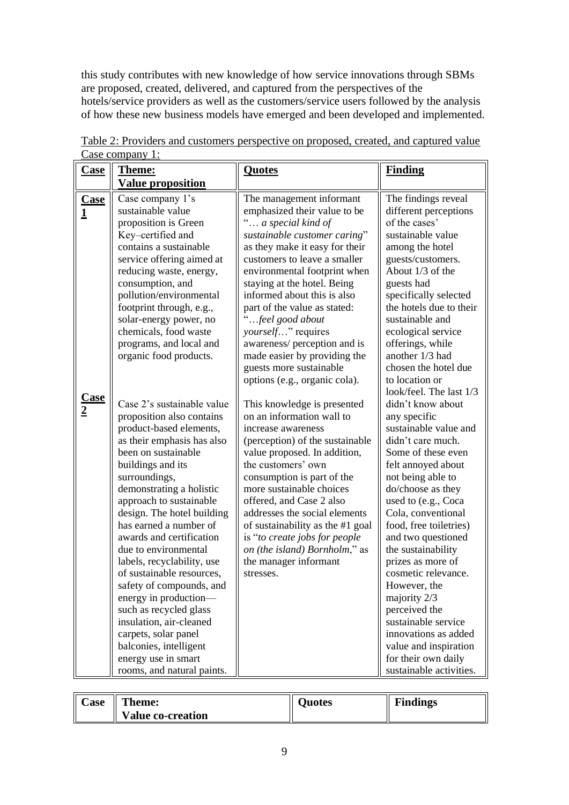this study contributes with new knowledge of how service innovations through SBMs are proposed, created, delivered, and captured from the perspectives of the hotels/service providers as well as the customers/service users followed by the analysis of how these new business models have emerged and been developed and implemented.

| <u>Case</u>                   | Theme:                                                                                                                                                                                                                                                                                                                                                                                                                                                                                                                                                                                                                       | <b>Quotes</b>                                                                                                                                                                                                                                                                                                                                                                                                                              | <b>Finding</b>                                                                                                                                                                                                                                                                                                                                                                                                                                                                                                  |
|-------------------------------|------------------------------------------------------------------------------------------------------------------------------------------------------------------------------------------------------------------------------------------------------------------------------------------------------------------------------------------------------------------------------------------------------------------------------------------------------------------------------------------------------------------------------------------------------------------------------------------------------------------------------|--------------------------------------------------------------------------------------------------------------------------------------------------------------------------------------------------------------------------------------------------------------------------------------------------------------------------------------------------------------------------------------------------------------------------------------------|-----------------------------------------------------------------------------------------------------------------------------------------------------------------------------------------------------------------------------------------------------------------------------------------------------------------------------------------------------------------------------------------------------------------------------------------------------------------------------------------------------------------|
|                               | <b>Value proposition</b>                                                                                                                                                                                                                                                                                                                                                                                                                                                                                                                                                                                                     |                                                                                                                                                                                                                                                                                                                                                                                                                                            |                                                                                                                                                                                                                                                                                                                                                                                                                                                                                                                 |
| <b>Case</b><br>1              | Case company 1's<br>sustainable value<br>proposition is Green<br>Key-certified and<br>contains a sustainable<br>service offering aimed at<br>reducing waste, energy,<br>consumption, and<br>pollution/environmental                                                                                                                                                                                                                                                                                                                                                                                                          | The management informant<br>emphasized their value to be<br>" a special kind of<br>sustainable customer caring"<br>as they make it easy for their<br>customers to leave a smaller<br>environmental footprint when<br>staying at the hotel. Being<br>informed about this is also                                                                                                                                                            | The findings reveal<br>different perceptions<br>of the cases'<br>sustainable value<br>among the hotel<br>guests/customers.<br>About 1/3 of the<br>guests had<br>specifically selected                                                                                                                                                                                                                                                                                                                           |
|                               | footprint through, e.g.,<br>solar-energy power, no<br>chemicals, food waste<br>programs, and local and<br>organic food products.                                                                                                                                                                                                                                                                                                                                                                                                                                                                                             | part of the value as stated:<br>"feel good about<br>yourself" requires<br>awareness/ perception and is<br>made easier by providing the<br>guests more sustainable<br>options (e.g., organic cola).                                                                                                                                                                                                                                         | the hotels due to their<br>sustainable and<br>ecological service<br>offerings, while<br>another 1/3 had<br>chosen the hotel due<br>to location or<br>look/feel. The last 1/3                                                                                                                                                                                                                                                                                                                                    |
| <u>Case</u><br>$\overline{2}$ | Case 2's sustainable value<br>proposition also contains<br>product-based elements,<br>as their emphasis has also<br>been on sustainable<br>buildings and its<br>surroundings,<br>demonstrating a holistic<br>approach to sustainable<br>design. The hotel building<br>has earned a number of<br>awards and certification<br>due to environmental<br>labels, recyclability, use<br>of sustainable resources,<br>safety of compounds, and<br>energy in production—<br>such as recycled glass<br>insulation, air-cleaned<br>carpets, solar panel<br>balconies, intelligent<br>energy use in smart<br>rooms, and natural paints. | This knowledge is presented<br>on an information wall to<br>increase awareness<br>(perception) of the sustainable<br>value proposed. In addition,<br>the customers' own<br>consumption is part of the<br>more sustainable choices<br>offered, and Case 2 also<br>addresses the social elements<br>of sustainability as the #1 goal<br>is "to create jobs for people<br>on (the island) Bornholm," as<br>the manager informant<br>stresses. | didn't know about<br>any specific<br>sustainable value and<br>didn't care much.<br>Some of these even<br>felt annoyed about<br>not being able to<br>do/choose as they<br>used to (e.g., Coca<br>Cola, conventional<br>food, free toiletries)<br>and two questioned<br>the sustainability<br>prizes as more of<br>cosmetic relevance.<br>However, the<br>majority 2/3<br>perceived the<br>sustainable service<br>innovations as added<br>value and inspiration<br>for their own daily<br>sustainable activities. |

| Table 2: Providers and customers perspective on proposed, created, and captured value |  |  |  |
|---------------------------------------------------------------------------------------|--|--|--|
| Case company 1:                                                                       |  |  |  |

| <b>Case</b> | <b>Theme:</b>            | Juotes | <b>Findings</b> |
|-------------|--------------------------|--------|-----------------|
|             | <b>Value co-creation</b> |        |                 |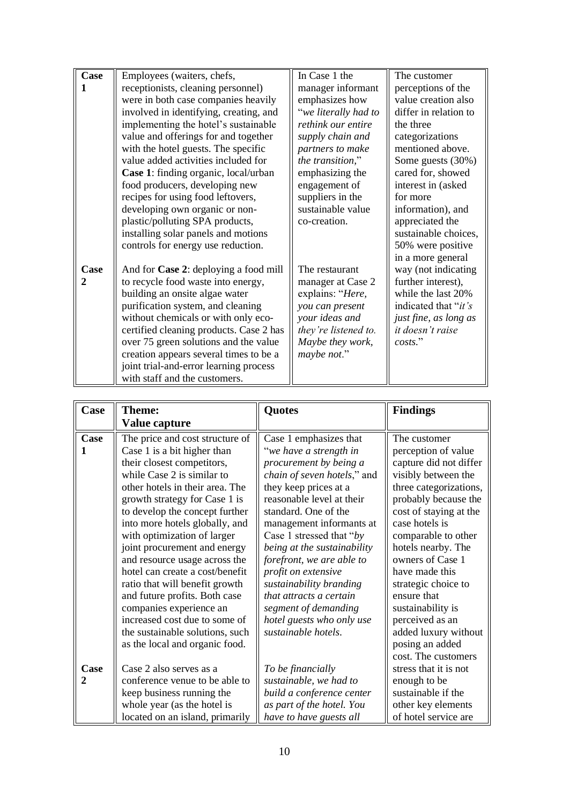| Case | Employees (waiters, chefs,              | In Case 1 the        | The customer                 |
|------|-----------------------------------------|----------------------|------------------------------|
|      | receptionists, cleaning personnel)      | manager informant    | perceptions of the           |
|      | were in both case companies heavily     | emphasizes how       | value creation also          |
|      | involved in identifying, creating, and  | "we literally had to | differ in relation to        |
|      | implementing the hotel's sustainable    | rethink our entire   | the three                    |
|      | value and offerings for and together    | supply chain and     | categorizations              |
|      | with the hotel guests. The specific     | partners to make     | mentioned above.             |
|      | value added activities included for     | the transition,"     | Some guests (30%)            |
|      | Case 1: finding organic, local/urban    | emphasizing the      | cared for, showed            |
|      | food producers, developing new          | engagement of        | interest in (asked           |
|      | recipes for using food leftovers,       | suppliers in the     | for more                     |
|      | developing own organic or non-          | sustainable value    | information), and            |
|      | plastic/polluting SPA products,         | co-creation.         | appreciated the              |
|      | installing solar panels and motions     |                      | sustainable choices,         |
|      | controls for energy use reduction.      |                      | 50% were positive            |
|      |                                         |                      | in a more general            |
| Case | And for Case 2: deploying a food mill   | The restaurant       | way (not indicating          |
| 2    | to recycle food waste into energy,      | manager at Case 2    | further interest),           |
|      | building an onsite algae water          | explains: "Here,     | while the last 20%           |
|      | purification system, and cleaning       | you can present      | indicated that " <i>it's</i> |
|      | without chemicals or with only eco-     | your ideas and       | just fine, as long as        |
|      | certified cleaning products. Case 2 has | they're listened to. | it doesn't raise             |
|      | over 75 green solutions and the value   | Maybe they work,     | costs."                      |
|      | creation appears several times to be a  | maybe not."          |                              |
|      | joint trial-and-error learning process  |                      |                              |
|      | with staff and the customers.           |                      |                              |

| Case | <b>Theme:</b>                   | <b>Quotes</b>                      | <b>Findings</b>        |
|------|---------------------------------|------------------------------------|------------------------|
|      | Value capture                   |                                    |                        |
| Case | The price and cost structure of | Case 1 emphasizes that             | The customer           |
|      | Case 1 is a bit higher than     | "we have a strength in             | perception of value    |
|      | their closest competitors,      | procurement by being a             | capture did not differ |
|      | while Case 2 is similar to      | <i>chain of seven hotels,"</i> and | visibly between the    |
|      | other hotels in their area. The | they keep prices at a              | three categorizations, |
|      | growth strategy for Case 1 is   | reasonable level at their          | probably because the   |
|      | to develop the concept further  | standard. One of the               | cost of staying at the |
|      | into more hotels globally, and  | management informants at           | case hotels is         |
|      | with optimization of larger     | Case 1 stressed that "by           | comparable to other    |
|      | joint procurement and energy    | being at the sustainability        | hotels nearby. The     |
|      | and resource usage across the   | forefront, we are able to          | owners of Case 1       |
|      | hotel can create a cost/benefit | profit on extensive                | have made this         |
|      | ratio that will benefit growth  | sustainability branding            | strategic choice to    |
|      | and future profits. Both case   | that attracts a certain            | ensure that            |
|      | companies experience an         | segment of demanding               | sustainability is      |
|      | increased cost due to some of   | hotel guests who only use          | perceived as an        |
|      | the sustainable solutions, such | sustainable hotels.                | added luxury without   |
|      | as the local and organic food.  |                                    | posing an added        |
|      |                                 |                                    | cost. The customers    |
| Case | Case 2 also serves as a         | To be financially                  | stress that it is not  |
| 2    | conference venue to be able to  | sustainable, we had to             | enough to be           |
|      | keep business running the       | build a conference center          | sustainable if the     |
|      | whole year (as the hotel is     | as part of the hotel. You          | other key elements     |
|      | located on an island, primarily | have to have guests all            | of hotel service are   |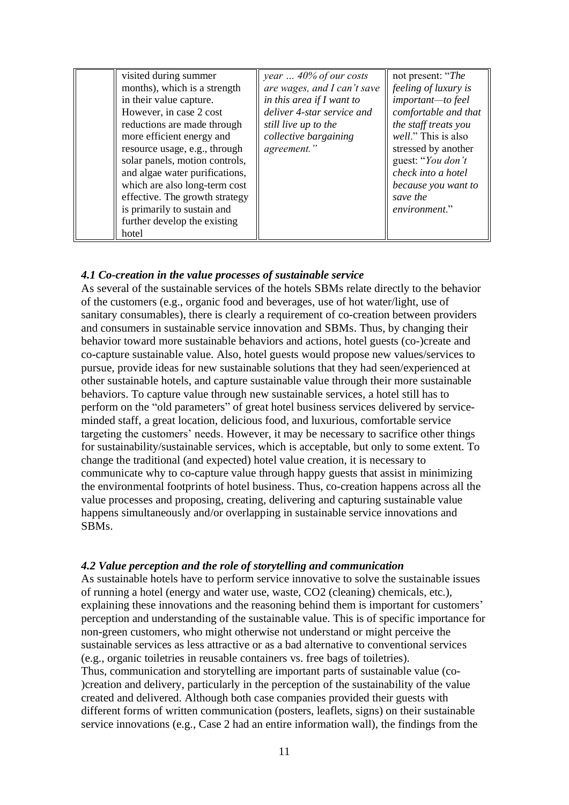| visited during summer          | year $\ldots$ 40% of our costs | not present: "The    |
|--------------------------------|--------------------------------|----------------------|
| months), which is a strength   | are wages, and I can't save    | feeling of luxury is |
| in their value capture.        | in this area if $I$ want to    | important-to feel    |
| However, in case 2 cost        | deliver 4-star service and     | comfortable and that |
| reductions are made through    | still live up to the           | the staff treats you |
| more efficient energy and      | collective bargaining          | well." This is also  |
| resource usage, e.g., through  | agreement."                    | stressed by another  |
| solar panels, motion controls, |                                | guest: "You don't    |
| and algae water purifications, |                                | check into a hotel   |
| which are also long-term cost  |                                | because you want to  |
| effective. The growth strategy |                                | save the             |
| is primarily to sustain and    |                                | environment."        |
| further develop the existing   |                                |                      |
| hotel                          |                                |                      |

#### *4.1 Co-creation in the value processes of sustainable service*

As several of the sustainable services of the hotels SBMs relate directly to the behavior of the customers (e.g., organic food and beverages, use of hot water/light, use of sanitary consumables), there is clearly a requirement of co-creation between providers and consumers in sustainable service innovation and SBMs. Thus, by changing their behavior toward more sustainable behaviors and actions, hotel guests (co-)create and co-capture sustainable value. Also, hotel guests would propose new values/services to pursue, provide ideas for new sustainable solutions that they had seen/experienced at other sustainable hotels, and capture sustainable value through their more sustainable behaviors. To capture value through new sustainable services, a hotel still has to perform on the "old parameters" of great hotel business services delivered by serviceminded staff, a great location, delicious food, and luxurious, comfortable service targeting the customers' needs. However, it may be necessary to sacrifice other things for sustainability/sustainable services, which is acceptable, but only to some extent. To change the traditional (and expected) hotel value creation, it is necessary to communicate why to co-capture value through happy guests that assist in minimizing the environmental footprints of hotel business. Thus, co-creation happens across all the value processes and proposing, creating, delivering and capturing sustainable value happens simultaneously and/or overlapping in sustainable service innovations and SBMs.

#### *4.2 Value perception and the role of storytelling and communication*

As sustainable hotels have to perform service innovative to solve the sustainable issues of running a hotel (energy and water use, waste, CO2 (cleaning) chemicals, etc.), explaining these innovations and the reasoning behind them is important for customers' perception and understanding of the sustainable value. This is of specific importance for non-green customers, who might otherwise not understand or might perceive the sustainable services as less attractive or as a bad alternative to conventional services (e.g., organic toiletries in reusable containers vs. free bags of toiletries). Thus, communication and storytelling are important parts of sustainable value (co- )creation and delivery, particularly in the perception of the sustainability of the value created and delivered. Although both case companies provided their guests with different forms of written communication (posters, leaflets, signs) on their sustainable service innovations (e.g., Case 2 had an entire information wall), the findings from the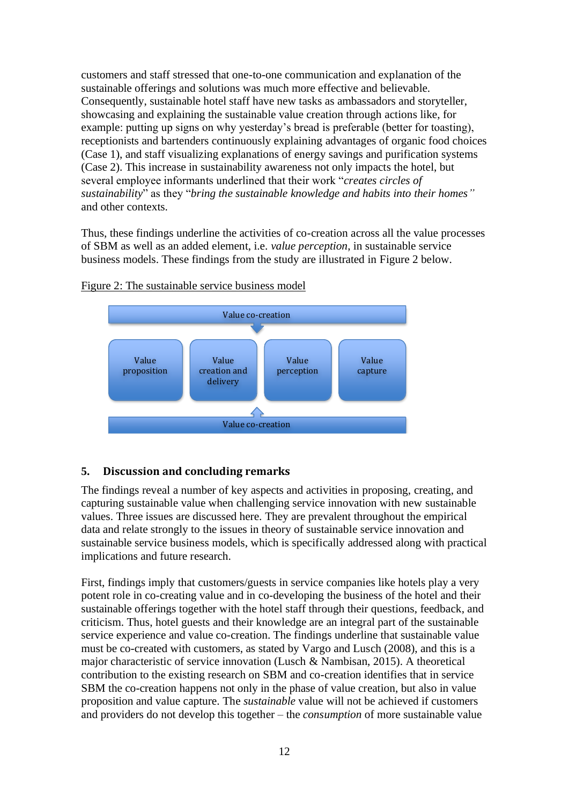customers and staff stressed that one-to-one communication and explanation of the sustainable offerings and solutions was much more effective and believable. Consequently, sustainable hotel staff have new tasks as ambassadors and storyteller, showcasing and explaining the sustainable value creation through actions like, for example: putting up signs on why yesterday's bread is preferable (better for toasting), receptionists and bartenders continuously explaining advantages of organic food choices (Case 1), and staff visualizing explanations of energy savings and purification systems (Case 2). This increase in sustainability awareness not only impacts the hotel, but several employee informants underlined that their work "*creates circles of sustainability*" as they "*bring the sustainable knowledge and habits into their homes"* and other contexts.

Thus, these findings underline the activities of co-creation across all the value processes of SBM as well as an added element, i.e. *value perception*, in sustainable service business models. These findings from the study are illustrated in Figure 2 below.



Figure 2: The sustainable service business model

## **5. Discussion and concluding remarks**

The findings reveal a number of key aspects and activities in proposing, creating, and capturing sustainable value when challenging service innovation with new sustainable values. Three issues are discussed here. They are prevalent throughout the empirical data and relate strongly to the issues in theory of sustainable service innovation and sustainable service business models, which is specifically addressed along with practical implications and future research.

First, findings imply that customers/guests in service companies like hotels play a very potent role in co-creating value and in co-developing the business of the hotel and their sustainable offerings together with the hotel staff through their questions, feedback, and criticism. Thus, hotel guests and their knowledge are an integral part of the sustainable service experience and value co-creation. The findings underline that sustainable value must be co-created with customers, as stated by Vargo and Lusch (2008), and this is a major characteristic of service innovation (Lusch & Nambisan, 2015). A theoretical contribution to the existing research on SBM and co-creation identifies that in service SBM the co-creation happens not only in the phase of value creation, but also in value proposition and value capture. The *sustainable* value will not be achieved if customers and providers do not develop this together – the *consumption* of more sustainable value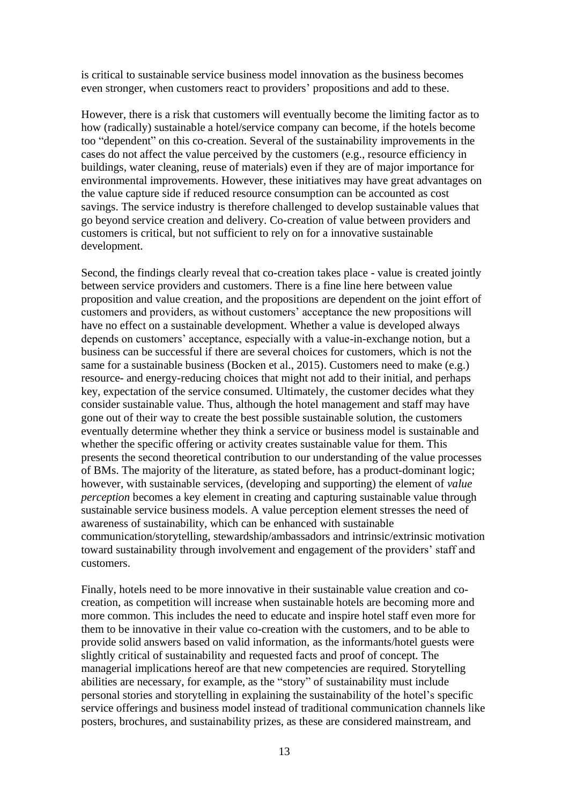is critical to sustainable service business model innovation as the business becomes even stronger, when customers react to providers' propositions and add to these.

However, there is a risk that customers will eventually become the limiting factor as to how (radically) sustainable a hotel/service company can become, if the hotels become too "dependent" on this co-creation. Several of the sustainability improvements in the cases do not affect the value perceived by the customers (e.g., resource efficiency in buildings, water cleaning, reuse of materials) even if they are of major importance for environmental improvements. However, these initiatives may have great advantages on the value capture side if reduced resource consumption can be accounted as cost savings. The service industry is therefore challenged to develop sustainable values that go beyond service creation and delivery. Co-creation of value between providers and customers is critical, but not sufficient to rely on for a innovative sustainable development.

Second, the findings clearly reveal that co-creation takes place - value is created jointly between service providers and customers. There is a fine line here between value proposition and value creation, and the propositions are dependent on the joint effort of customers and providers, as without customers' acceptance the new propositions will have no effect on a sustainable development. Whether a value is developed always depends on customers' acceptance, especially with a value-in-exchange notion, but a business can be successful if there are several choices for customers, which is not the same for a sustainable business (Bocken et al., 2015). Customers need to make (e.g.) resource- and energy-reducing choices that might not add to their initial, and perhaps key, expectation of the service consumed. Ultimately, the customer decides what they consider sustainable value. Thus, although the hotel management and staff may have gone out of their way to create the best possible sustainable solution, the customers eventually determine whether they think a service or business model is sustainable and whether the specific offering or activity creates sustainable value for them. This presents the second theoretical contribution to our understanding of the value processes of BMs. The majority of the literature, as stated before, has a product-dominant logic; however, with sustainable services, (developing and supporting) the element of *value perception* becomes a key element in creating and capturing sustainable value through sustainable service business models. A value perception element stresses the need of awareness of sustainability, which can be enhanced with sustainable communication/storytelling, stewardship/ambassadors and intrinsic/extrinsic motivation toward sustainability through involvement and engagement of the providers' staff and customers.

Finally, hotels need to be more innovative in their sustainable value creation and cocreation, as competition will increase when sustainable hotels are becoming more and more common. This includes the need to educate and inspire hotel staff even more for them to be innovative in their value co-creation with the customers, and to be able to provide solid answers based on valid information, as the informants/hotel guests were slightly critical of sustainability and requested facts and proof of concept. The managerial implications hereof are that new competencies are required. Storytelling abilities are necessary, for example, as the "story" of sustainability must include personal stories and storytelling in explaining the sustainability of the hotel's specific service offerings and business model instead of traditional communication channels like posters, brochures, and sustainability prizes, as these are considered mainstream, and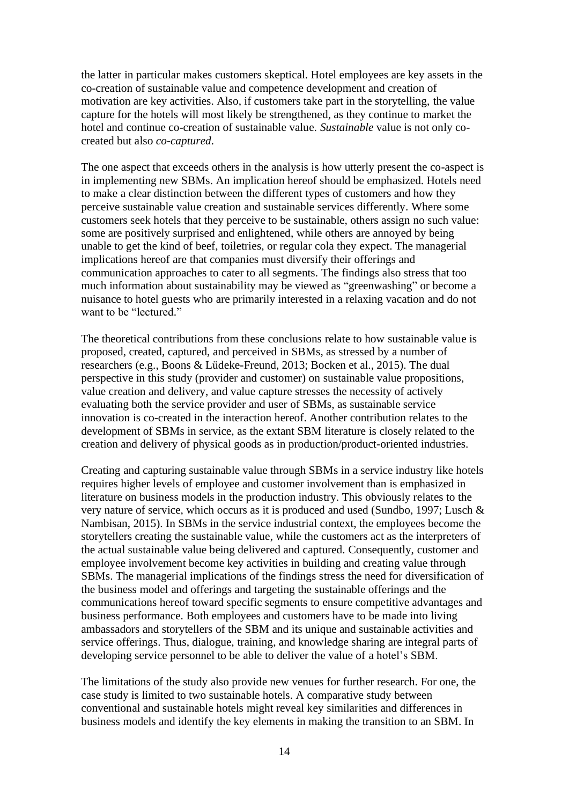the latter in particular makes customers skeptical. Hotel employees are key assets in the co-creation of sustainable value and competence development and creation of motivation are key activities. Also, if customers take part in the storytelling, the value capture for the hotels will most likely be strengthened, as they continue to market the hotel and continue co-creation of sustainable value. *Sustainable* value is not only cocreated but also *co-captured*.

The one aspect that exceeds others in the analysis is how utterly present the co-aspect is in implementing new SBMs. An implication hereof should be emphasized. Hotels need to make a clear distinction between the different types of customers and how they perceive sustainable value creation and sustainable services differently. Where some customers seek hotels that they perceive to be sustainable, others assign no such value: some are positively surprised and enlightened, while others are annoyed by being unable to get the kind of beef, toiletries, or regular cola they expect. The managerial implications hereof are that companies must diversify their offerings and communication approaches to cater to all segments. The findings also stress that too much information about sustainability may be viewed as "greenwashing" or become a nuisance to hotel guests who are primarily interested in a relaxing vacation and do not want to be "lectured."

The theoretical contributions from these conclusions relate to how sustainable value is proposed, created, captured, and perceived in SBMs, as stressed by a number of researchers (e.g., Boons & Lüdeke-Freund, 2013; Bocken et al., 2015). The dual perspective in this study (provider and customer) on sustainable value propositions, value creation and delivery, and value capture stresses the necessity of actively evaluating both the service provider and user of SBMs, as sustainable service innovation is co-created in the interaction hereof. Another contribution relates to the development of SBMs in service, as the extant SBM literature is closely related to the creation and delivery of physical goods as in production/product-oriented industries.

Creating and capturing sustainable value through SBMs in a service industry like hotels requires higher levels of employee and customer involvement than is emphasized in literature on business models in the production industry. This obviously relates to the very nature of service, which occurs as it is produced and used (Sundbo, 1997; Lusch & Nambisan, 2015). In SBMs in the service industrial context, the employees become the storytellers creating the sustainable value, while the customers act as the interpreters of the actual sustainable value being delivered and captured. Consequently, customer and employee involvement become key activities in building and creating value through SBMs. The managerial implications of the findings stress the need for diversification of the business model and offerings and targeting the sustainable offerings and the communications hereof toward specific segments to ensure competitive advantages and business performance. Both employees and customers have to be made into living ambassadors and storytellers of the SBM and its unique and sustainable activities and service offerings. Thus, dialogue, training, and knowledge sharing are integral parts of developing service personnel to be able to deliver the value of a hotel's SBM.

The limitations of the study also provide new venues for further research. For one, the case study is limited to two sustainable hotels. A comparative study between conventional and sustainable hotels might reveal key similarities and differences in business models and identify the key elements in making the transition to an SBM. In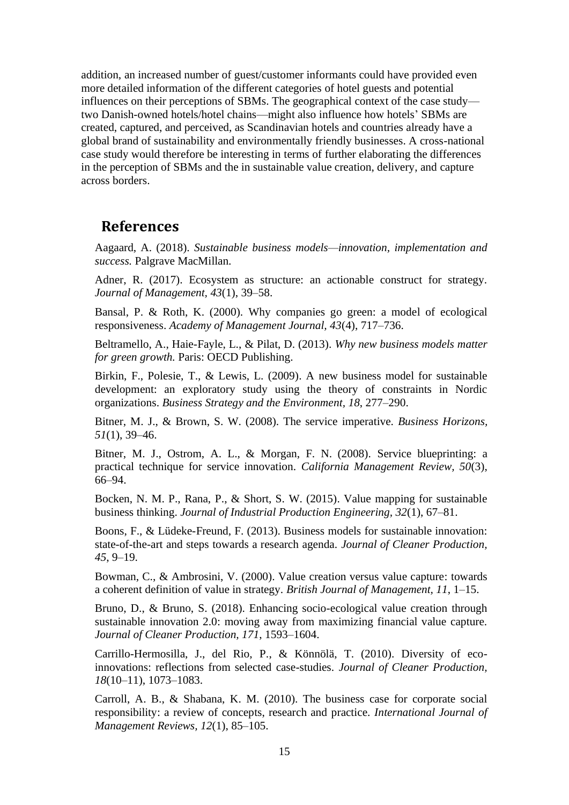addition, an increased number of guest/customer informants could have provided even more detailed information of the different categories of hotel guests and potential influences on their perceptions of SBMs. The geographical context of the case study two Danish-owned hotels/hotel chains—might also influence how hotels' SBMs are created, captured, and perceived, as Scandinavian hotels and countries already have a global brand of sustainability and environmentally friendly businesses. A cross-national case study would therefore be interesting in terms of further elaborating the differences in the perception of SBMs and the in sustainable value creation, delivery, and capture across borders.

## **References**

Aagaard, A. (2018). *Sustainable business models—innovation, implementation and success.* Palgrave MacMillan.

Adner, R. (2017). Ecosystem as structure: an actionable construct for strategy. *Journal of Management, 43*(1), 39–58.

Bansal, P. & Roth, K. (2000). Why companies go green: a model of ecological responsiveness. *Academy of Management Journal, 43*(4), 717–736.

Beltramello, A., Haie-Fayle, L., & Pilat, D. (2013). *Why new business models matter for green growth.* Paris: OECD Publishing.

Birkin, F., Polesie, T., & Lewis, L. (2009). A new business model for sustainable development: an exploratory study using the theory of constraints in Nordic organizations. *Business Strategy and the Environment, 18*, 277–290.

Bitner, M. J., & Brown, S. W. (2008). The service imperative. *Business Horizons, 51*(1), 39–46.

Bitner, M. J., Ostrom, A. L., & Morgan, F. N. (2008). Service blueprinting: a practical technique for service innovation. *California Management Review, 50*(3), 66–94.

Bocken, N. M. P., Rana, P., & Short, S. W. (2015). Value mapping for sustainable business thinking. *Journal of Industrial Production Engineering, 32*(1), 67–81.

Boons, F., & Lüdeke-Freund, F. (2013). Business models for sustainable innovation: state-of-the-art and steps towards a research agenda. *Journal of Cleaner Production, 45*, 9–19.

Bowman, C., & Ambrosini, V. (2000). Value creation versus value capture: towards a coherent definition of value in strategy. *British Journal of Management, 11*, 1–15.

Bruno, D., & Bruno, S. (2018). Enhancing socio-ecological value creation through sustainable innovation 2.0: moving away from maximizing financial value capture. *Journal of Cleaner Production, 171*, 1593–1604.

Carrillo-Hermosilla, J., del Rio, P., & Könnölä, T. (2010). Diversity of ecoinnovations: reflections from selected case-studies. *Journal of Cleaner Production, 18*(10–11), 1073–1083.

Carroll, A. B., & Shabana, K. M. (2010). The business case for corporate social responsibility: a review of concepts, research and practice. *International Journal of Management Reviews, 12*(1), 85–105.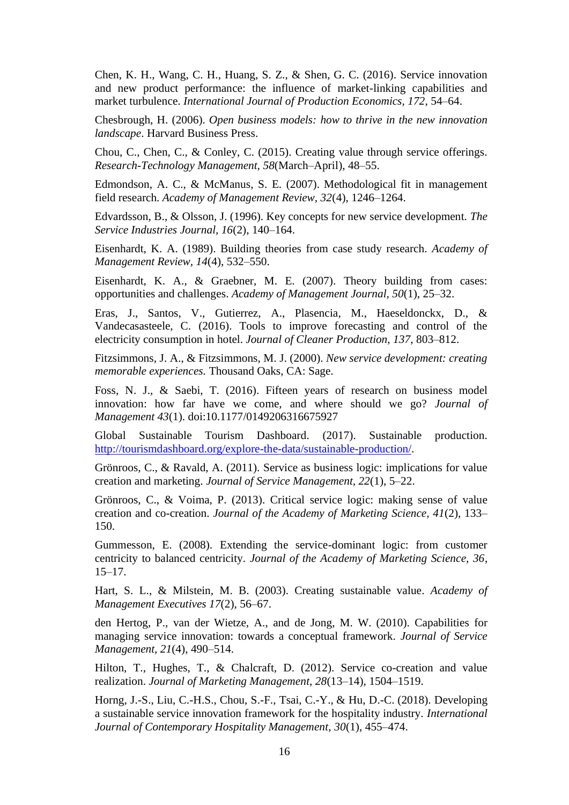Chen, K. H., Wang, C. H., Huang, S. Z., & Shen, G. C. (2016). Service innovation and new product performance: the influence of market-linking capabilities and market turbulence. *International Journal of Production Economics, 172*, 54–64.

Chesbrough, H. (2006). *Open business models: how to thrive in the new innovation landscape*. Harvard Business Press.

Chou, C., Chen, C., & Conley, C. (2015). Creating value through service offerings. *Research-Technology Management, 58*(March–April), 48–55.

Edmondson, A. C., & McManus, S. E. (2007). Methodological fit in management field research. *Academy of Management Review, 32*(4), 1246–1264.

Edvardsson, B., & Olsson, J. (1996). Key concepts for new service development. *The Service Industries Journal, 16*(2), 140–164.

Eisenhardt, K. A. (1989). Building theories from case study research. *Academy of Management Review, 14*(4), 532–550.

Eisenhardt, K. A., & Graebner, M. E. (2007). Theory building from cases: opportunities and challenges. *Academy of Management Journal, 50*(1), 25–32.

Eras, J., Santos, V., Gutierrez, A., Plasencia, M., Haeseldonckx, D., & Vandecasasteele, C. (2016). Tools to improve forecasting and control of the electricity consumption in hotel. *Journal of Cleaner Production, 137*, 803–812.

Fitzsimmons, J. A., & Fitzsimmons, M. J. (2000). *New service development: creating memorable experiences.* Thousand Oaks, CA: Sage.

Foss, N. J., & Saebi, T. (2016). Fifteen years of research on business model innovation: how far have we come, and where should we go? *Journal of Management 43*(1). doi:10.1177/0149206316675927

Global Sustainable Tourism Dashboard. (2017). Sustainable production. [http://tourismdashboard.org/explore-the-data/sustainable-production/.](http://tourismdashboard.org/explore-the-data/sustainable-production/)

Grönroos, C., & Ravald, A. (2011). Service as business logic: implications for value creation and marketing. *Journal of Service Management, 22*(1), 5–22.

Grönroos, C., & Voima, P. (2013). Critical service logic: making sense of value creation and co-creation. *Journal of the Academy of Marketing Science, 41*(2), 133– 150.

Gummesson, E. (2008). Extending the service-dominant logic: from customer centricity to balanced centricity. *Journal of the Academy of Marketing Science, 36*, 15–17.

Hart, S. L., & Milstein, M. B. (2003). Creating sustainable value. *Academy of Management Executives 17*(2), 56–67.

den Hertog, P., van der Wietze, A., and de Jong, M. W. (2010). Capabilities for managing service innovation: towards a conceptual framework. *Journal of Service Management, 21*(4), 490–514.

Hilton, T., Hughes, T., & Chalcraft, D. (2012). Service co-creation and value realization. *Journal of Marketing Management, 28*(13–14), 1504–1519.

Horng, J.-S., Liu, C.-H.S., Chou, S.-F., Tsai, C.-Y., & Hu, D.-C. (2018). Developing a sustainable service innovation framework for the hospitality industry. *International Journal of Contemporary Hospitality Management, 30*(1), 455–474.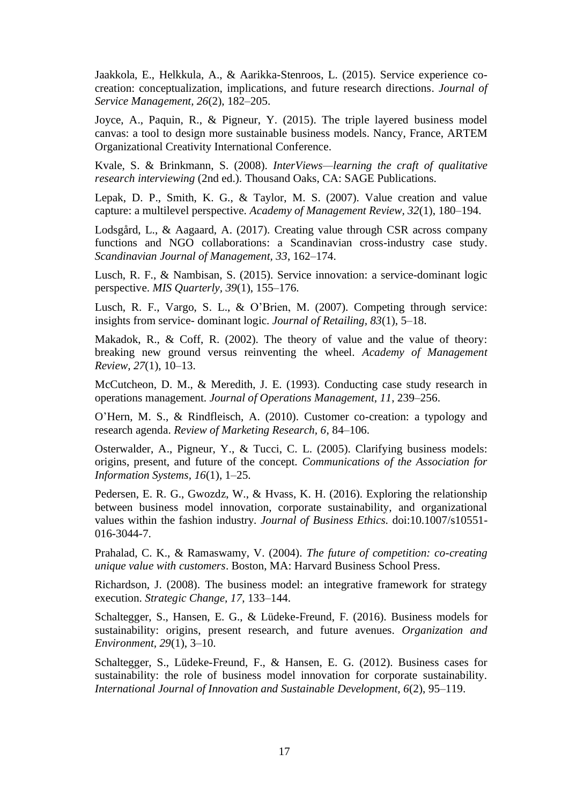Jaakkola, E., Helkkula, A., & Aarikka-Stenroos, L. (2015). Service experience cocreation: conceptualization, implications, and future research directions. *Journal of Service Management, 26*(2), 182–205.

Joyce, A., Paquin, R., & Pigneur, Y. (2015). The triple layered business model canvas: a tool to design more sustainable business models. Nancy, France, ARTEM Organizational Creativity International Conference.

Kvale, S. & Brinkmann, S. (2008). *InterViews—learning the craft of qualitative research interviewing* (2nd ed.). Thousand Oaks, CA: SAGE Publications.

Lepak, D. P., Smith, K. G., & Taylor, M. S. (2007). Value creation and value capture: a multilevel perspective. *Academy of Management Review, 32*(1), 180–194.

Lodsgård, L., & Aagaard, A. (2017). Creating value through CSR across company functions and NGO collaborations: a Scandinavian cross-industry case study. *Scandinavian Journal of Management, 33*, 162–174.

Lusch, R. F., & Nambisan, S. (2015). Service innovation: a service-dominant logic perspective. *MIS Quarterly, 39*(1), 155–176.

Lusch, R. F., Vargo, S. L., & O'Brien, M. (2007). Competing through service: insights from service- dominant logic. *Journal of Retailing, 83*(1), 5–18.

Makadok, R., & Coff, R. (2002). The theory of value and the value of theory: breaking new ground versus reinventing the wheel. *Academy of Management Review, 27*(1), 10–13.

McCutcheon, D. M., & Meredith, J. E. (1993). Conducting case study research in operations management. *Journal of Operations Management, 11*, 239–256.

O'Hern, M. S., & Rindfleisch, A. (2010). Customer co-creation: a typology and research agenda. *Review of Marketing Research, 6*, 84–106.

Osterwalder, A., Pigneur, Y., & Tucci, C. L. (2005). Clarifying business models: origins, present, and future of the concept. *Communications of the Association for Information Systems, 16*(1), 1–25.

Pedersen, E. R. G., Gwozdz, W., & Hvass, K. H. (2016). Exploring the relationship between business model innovation, corporate sustainability, and organizational values within the fashion industry*. Journal of Business Ethics.* doi:10.1007/s10551- 016-3044-7.

Prahalad, C. K., & Ramaswamy, V. (2004). *The future of competition: co-creating unique value with customers*. Boston, MA: Harvard Business School Press.

Richardson, J. (2008). The business model: an integrative framework for strategy execution. *Strategic Change, 17*, 133–144.

Schaltegger, S., Hansen, E. G., & Lüdeke-Freund, F. (2016). Business models for sustainability: origins, present research, and future avenues. *Organization and Environment, 29*(1), 3–10.

Schaltegger, S., Lüdeke-Freund, F., & Hansen, E. G. (2012). Business cases for sustainability: the role of business model innovation for corporate sustainability. *International Journal of Innovation and Sustainable Development, 6*(2), 95–119.